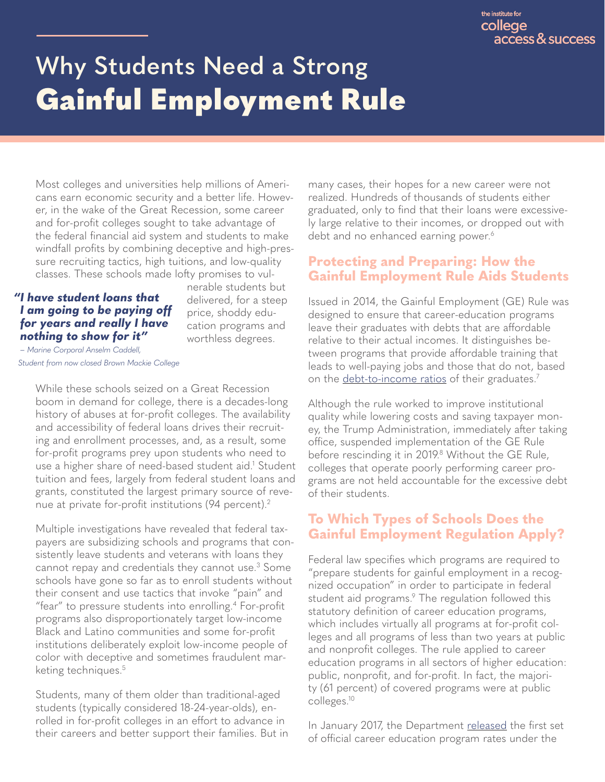# <span id="page-0-0"></span>**Why Students Need a Strong**  Gainful Employment Rule

Most colleges and universities help millions of Americans earn economic security and a better life. However, in the wake of the Great Recession, some career and for-profit colleges sought to take advantage of the federal financial aid system and students to make windfall profits by combining deceptive and high-pressure recruiting tactics, high tuitions, and low-quality classes. These schools made lofty promises to vul-

#### *"I have student loans that I am going to be paying off for years and really I have nothing to show for it"*

nerable students but delivered, for a steep price, shoddy education programs and worthless degrees.

 *– Marine Corporal Anselm Caddell, Student from now closed Brown Mackie College*

> While these schools seized on a Great Recession boom in demand for college, there is a decades-long history of abuses at for-profit colleges. The availability and accessibility of federal loans drives their recruiting and enrollment processes, and, as a result, some for-profit programs prey upon students who need to use a higher share of need-based student aid[.1](#page-3-0) Student tuition and fees, largely from federal student loans and grants, constituted the largest primary source of revenue at private for-profit institutions (94 percent)[.2](#page-3-0)

Multiple investigations have revealed that federal taxpayers are subsidizing schools and programs that consistently leave students and veterans with loans they cannot repay and credentials they cannot use.[3](#page-3-0) Some schools have gone so far as to enroll students without their consent and use tactics that invoke "pain" and "fear" to pressure students into enrolling.<sup>4</sup> For-profit programs also disproportionately target low-income Black and Latino communities and some for-profit institutions deliberately exploit low-income people of color with deceptive and sometimes fraudulent mar-keting techniques.<sup>[5](#page-3-0)</sup>

Students, many of them older than traditional-aged students (typically considered 18-24-year-olds), enrolled in for-profit colleges in an effort to advance in their careers and better support their families. But in many cases, their hopes for a new career were not realized. Hundreds of thousands of students either graduated, only to find that their loans were excessively large relative to their incomes, or dropped out with debt and no enhanced earning power.<sup>[6](#page-3-0)</sup>

## **Protecting and Preparing: How the Gainful Employment Rule Aids Students**

Issued in 2014, the Gainful Employment (GE) Rule was designed to ensure that career-education programs leave their graduates with debts that are affordable relative to their actual incomes. It distinguishes between programs that provide affordable training that leads to well-paying jobs and those that do not, based on the [debt-to-income ratios](https://www.savingforcollege.com/article/student-loan-101-what-is-debt-to-income-ratio#:~:text=For%20example%2C%20the%20rule%20of,of%2010%25%20to%2015%25) of their graduates.<sup>7</sup>

Although the rule worked to improve institutional quality while lowering costs and saving taxpayer money, the Trump Administration, immediately after taking office, suspended implementation of the GE Rule before rescinding it in 2019[.8](#page-3-0) Without the GE Rule, colleges that operate poorly performing career programs are not held accountable for the excessive debt of their students.

## **To Which Types of Schools Does the Gainful Employment Regulation Apply?**

Federal law specifies which programs are required to "prepare students for gainful employment in a recognized occupation" in order to participate in federal student aid programs.<sup>9</sup> The regulation followed this statutory definition of career education programs, which includes virtually all programs at for-profit colleges and all programs of less than two years at public and nonprofit colleges. The rule applied to career education programs in all sectors of higher education: public, nonprofit, and for-profit. In fact, the majority (61 percent) of covered programs were at public colleges[.10](#page-3-0)

In January 2017, the Department [released](https://www.ed.gov/news/press-releases/education-department-releases-final-debt-earnings-rates-gainful-employment-programs) the first set of official career education program rates under the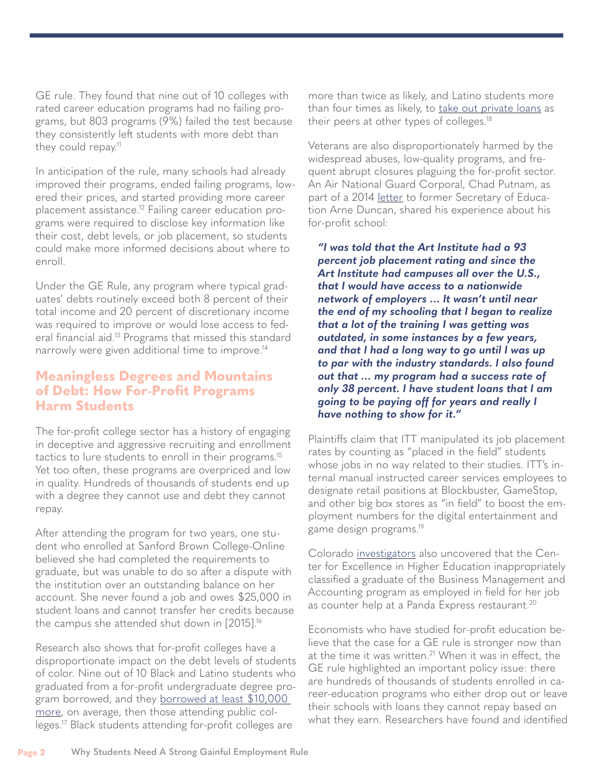GE rule. They found that nine out of 10 colleges with rated career education programs had no failing programs, but 803 programs (9%) failed the test because they consistently left students with more debt than they could repay.<sup>11</sup>

In anticipation of the rule, many schools had already improved their programs, ended failing programs, lowered their prices, and started providing more career placement assistance.<sup>12</sup> Failing career education programs were required to disclose key information like their cost, debt levels, or job placement, so students could make more informed decisions about where to enroll.

Under the GE Rule, any program where typical graduates' debts routinely exceed both 8 percent of their total income and 20 percent of discretionary income was required to improve or would lose access to federal financial aid[.13](#page-3-0) Programs that missed this standard narrowly were given additional time to improve[.14](#page-3-0)

#### **Meaningless Degrees and Mountains of Debt: How For-Profit Programs Harm Students**

The for-profit college sector has a history of engaging in deceptive and aggressive recruiting and enrollment tactics to lure students to enroll in their programs.<sup>15</sup> Yet too often, these programs are overpriced and low in quality. Hundreds of thousands of students end up with a degree they cannot use and debt they cannot repay.

After attending the program for two years, one student who enrolled at Sanford Brown College-Online believed she had completed the requirements to graduate, but was unable to do so after a dispute with the institution over an outstanding balance on her account. She never found a job and owes \$25,000 in student loans and cannot transfer her credits because the campus she attended shut down in [2015][.16](#page-3-0)

Research also shows that for-profit colleges have a disproportionate impact on the debt levels of students of color. Nine out of 10 Black and Latino students who graduated from a for-profit undergraduate degree program borrowed, and they borrowed at least \$10,000 [more,](https://tacc.org/sites/default/files/documents/2019-11/gainful-employment-brief.pdf) on average, then those attending public colleges[.17](#page-3-0) Black students attending for-profit colleges are

more than twice as likely, and Latino students more than four times as likely, to [take out private loans](https://tacc.org/sites/default/files/documents/2019-11/gainful-employment-brief.pdf) as their peers at other types of colleges.<sup>18</sup>

Veterans are also disproportionately harmed by the widespread abuses, low-quality programs, and frequent abrupt closures plaguing the for-profit sector. An Air National Guard Corporal, Chad Putnam, as part of a 2014 [letter](https://static1.squarespace.com/static/556718b2e4b02e470eb1b186/t/5744c4fa37013b2736268d6f/1464124666881/VES+Gainful+Employment+Submission.pdf) to former Secretary of Education Arne Duncan, shared his experience about his for-profit school:

*"I was told that the Art Institute had a 93 percent job placement rating and since the Art Institute had campuses all over the U.S., that I would have access to a nationwide network of employers … It wasn't until near the end of my schooling that I began to realize that a lot of the training I was getting was outdated, in some instances by a few years, and that I had a long way to go until I was up to par with the industry standards. I also found out that … my program had a success rate of only 38 percent. I have student loans that I am going to be paying off for years and really I have nothing to show for it."*

Plaintiffs claim that ITT manipulated its job placement rates by counting as "placed in the field" students whose jobs in no way related to their studies. ITT's internal manual instructed career services employees to designate retail positions at Blockbuster, GameStop, and other big box stores as "in field" to boost the employment numbers for the digital entertainment and game design programs[.19](#page-3-0)

Colorado [investigators](https://www.republicreport.org/wp-content/uploads/2020/08/FINDINGS-OF-FACT-CONCLUSIONS-OF-LAW-AND-JUDGMENT.pdf) also uncovered that the Center for Excellence in Higher Education inappropriately classified a graduate of the Business Management and Accounting program as employed in field for her job as counter help at a Panda Express restaurant.<sup>[20](#page-3-0)</sup>

Economists who have studied for-profit education believe that the case for a GE rule is stronger now than at the time it was written.<sup>21</sup> When it was in effect, the GE rule highlighted an important policy issue: there are hundreds of thousands of students enrolled in career-education programs who either drop out or leave their schools with loans they cannot repay based on what they earn. Researchers have found and identified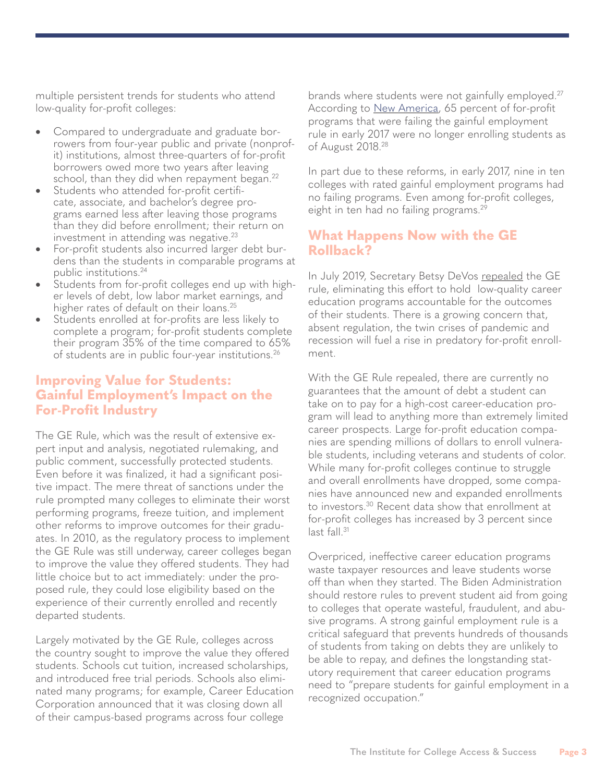<span id="page-2-0"></span>multiple persistent trends for students who attend low-quality for-profit colleges:

- Compared to undergraduate and graduate borrowers from four-year public and private (nonprofit) institutions, almost three-quarters of for-profit borrowers owed more two years after leaving school, than they did when repayment began.<sup>22</sup>
- Students who attended for-profit certificate, associate, and bachelor's degree programs earned less after leaving those programs than they did before enrollment; their return on investment in attending was negative. $23$
- For-profit students also incurred larger debt burdens than the students in comparable programs at public institutions[.24](#page-3-0)
- Students from for-profit colleges end up with higher levels of debt, low labor market earnings, and higher rates of default on their loans.<sup>[25](#page-3-0)</sup>
- Students enrolled at for-profits are less likely to complete a program; for-profit students complete their program 35% of the time compared to 65% of students are in public four-year institutions.[26](#page-3-0)

#### **Improving Value for Students: Gainful Employment's Impact on the For-Profit Industry**

The GE Rule, which was the result of extensive expert input and analysis, negotiated rulemaking, and public comment, successfully protected students. Even before it was finalized, it had a significant positive impact. The mere threat of sanctions under the rule prompted many colleges to eliminate their worst performing programs, freeze tuition, and implement other reforms to improve outcomes for their graduates. In 2010, as the regulatory process to implement the GE Rule was still underway, career colleges began to improve the value they offered students. They had little choice but to act immediately: under the proposed rule, they could lose eligibility based on the experience of their currently enrolled and recently departed students.

Largely motivated by the GE Rule, colleges across the country sought to improve the value they offered students. Schools cut tuition, increased scholarships, and introduced free trial periods. Schools also eliminated many programs; for example, Career Education Corporation announced that it was closing down all of their campus-based programs across four college

brands where students were not gainfully employed.<sup>[27](#page-3-0)</sup> According to [New America,](https://www.newamerica.org/education-policy/public-comments/our-public-comments-us-department-education/comments-proposed-gainful-employment-rule/) 65 percent of for-profit programs that were failing the gainful employment rule in early 2017 were no longer enrolling students as of August 2018[.28](#page-3-0)

In part due to these reforms, in early 2017, nine in ten colleges with rated gainful employment programs had no failing programs. Even among for-profit colleges, eight in ten had no failing programs.<sup>29</sup>

## **What Happens Now with the GE Rollback?**

In July 2019, Secretary Betsy DeVos [repeal](https://www.insidehighered.com/quicktakes/2019/07/02/devos-issues-final-repeal-gainful-employment)ed the GE rule, eliminating this effort to hold low-quality career education programs accountable for the outcomes of their students. There is a growing concern that, absent regulation, the twin crises of pandemic and recession will fuel a rise in predatory for-profit enrollment.

With the GE Rule repealed, there are currently no guarantees that the amount of debt a student can take on to pay for a high-cost career-education program will lead to anything more than extremely limited career prospects. Large for-profit education companies are spending millions of dollars to enroll vulnerable students, including veterans and students of color. While many for-profit colleges continue to struggle and overall enrollments have dropped, some companies have announced new and expanded enrollments to investors.<sup>[30](#page-3-0)</sup> Recent data show that enrollment at for-profit colleges has increased by 3 percent since last fall.<sup>[31](#page-3-0)</sup>

Overpriced, ineffective career education programs waste taxpayer resources and leave students worse off than when they started. The Biden Administration should restore rules to prevent student aid from going to colleges that operate wasteful, fraudulent, and abusive programs. A strong gainful employment rule is a critical safeguard that prevents hundreds of thousands of students from taking on debts they are unlikely to be able to repay, and defines the longstanding statutory requirement that career education programs need to "prepare students for gainful employment in a recognized occupation."